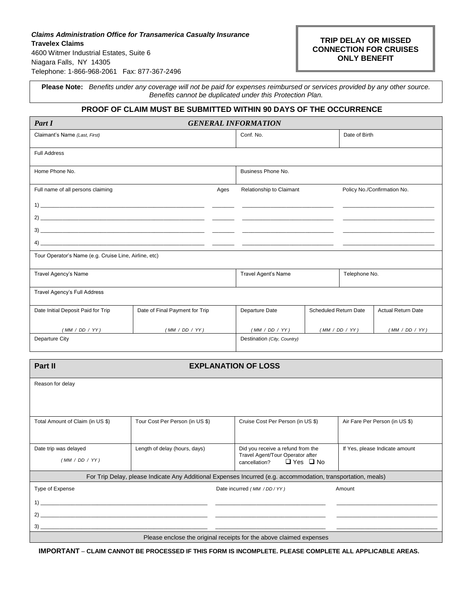# *Claims Administration Office for Transamerica Casualty Insurance* **Travelex Claims**  4600 Witmer Industrial Estates, Suite 6 Niagara Falls, NY 14305 Telephone: 1-866-968-2061Fax: 877-367-2496

# **TRIP DELAY OR MISSED CONNECTION FOR CRUISES ONLY BENEFIT**

**Please Note:** *Benefits under any coverage will not be paid for expenses reimbursed or services provided by any other source. Benefits cannot be duplicated under this Protection Plan.*

# **PROOF OF CLAIM MUST BE SUBMITTED WITHIN 90 DAYS OF THE OCCURRENCE**

| <b>GENERAL INFORMATION</b><br>Part I                  |                                |                             |                    |                              |                |                           |
|-------------------------------------------------------|--------------------------------|-----------------------------|--------------------|------------------------------|----------------|---------------------------|
| Claimant's Name (Last, First)                         |                                | Conf. No.                   |                    | Date of Birth                |                |                           |
| <b>Full Address</b>                                   |                                |                             |                    |                              |                |                           |
| Home Phone No.                                        |                                |                             | Business Phone No. |                              |                |                           |
| Full name of all persons claiming<br>Ages             |                                | Relationship to Claimant    |                    | Policy No./Confirmation No.  |                |                           |
|                                                       |                                |                             |                    |                              |                |                           |
|                                                       |                                |                             |                    |                              |                |                           |
|                                                       |                                |                             |                    |                              |                |                           |
|                                                       |                                |                             |                    |                              |                |                           |
| Tour Operator's Name (e.g. Cruise Line, Airline, etc) |                                |                             |                    |                              |                |                           |
| Travel Agency's Name                                  |                                | Travel Agent's Name         |                    | Telephone No.                |                |                           |
| Travel Agency's Full Address                          |                                |                             |                    |                              |                |                           |
| Date Initial Deposit Paid for Trip                    | Date of Final Payment for Trip |                             | Departure Date     | <b>Scheduled Return Date</b> |                | <b>Actual Return Date</b> |
| (MM / DD / YY)                                        | (MM / DD / YY)                 |                             | (MM / DD / YY)     |                              | (MM / DD / YY) | (MM / DD / YY)            |
| Departure City                                        |                                | Destination (City, Country) |                    |                              |                |                           |
|                                                       |                                |                             |                    |                              |                |                           |

| Part II                                                                                                      | <b>EXPLANATION OF LOSS</b>                                                                                                                                          |                                                                                                                |                                |  |
|--------------------------------------------------------------------------------------------------------------|---------------------------------------------------------------------------------------------------------------------------------------------------------------------|----------------------------------------------------------------------------------------------------------------|--------------------------------|--|
| Reason for delay                                                                                             |                                                                                                                                                                     |                                                                                                                |                                |  |
| Total Amount of Claim (in US \$)                                                                             | Tour Cost Per Person (in US \$)                                                                                                                                     | Cruise Cost Per Person (in US \$)                                                                              | Air Fare Per Person (in US \$) |  |
| Date trip was delayed<br>(MM / DD / YY)                                                                      | Length of delay (hours, days)                                                                                                                                       | Did you receive a refund from the<br>Travel Agent/Tour Operator after<br>$\Box$ Yes $\Box$ No<br>cancellation? | If Yes, please Indicate amount |  |
| For Trip Delay, please Indicate Any Additional Expenses Incurred (e.g. accommodation, transportation, meals) |                                                                                                                                                                     |                                                                                                                |                                |  |
| Type of Expense<br>1)<br>2)                                                                                  | the control of the control of the control of the control of the control of the control of<br><u> 1989 - Jan Samuel Barbara, margaret eta biztanleria (h. 1989).</u> | Date incurred (MM / DD / YY)                                                                                   | Amount                         |  |
|                                                                                                              |                                                                                                                                                                     |                                                                                                                |                                |  |
| Please enclose the original receipts for the above claimed expenses                                          |                                                                                                                                                                     |                                                                                                                |                                |  |

**IMPORTANT** – **CLAIM CANNOT BE PROCESSED IF THIS FORM IS INCOMPLETE. PLEASE COMPLETE ALL APPLICABLE AREAS.**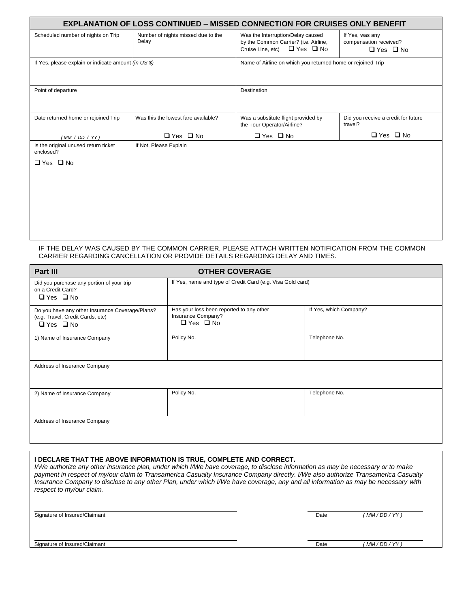| <b>EXPLANATION OF LOSS CONTINUED - MISSED CONNECTION FOR CRUISES ONLY BENEFIT</b> |                                             |                                                                                                                         |                                                                   |  |
|-----------------------------------------------------------------------------------|---------------------------------------------|-------------------------------------------------------------------------------------------------------------------------|-------------------------------------------------------------------|--|
| Scheduled number of nights on Trip                                                | Number of nights missed due to the<br>Delay | Was the Interruption/Delay caused<br>by the Common Carrier? (i.e. Airline,<br>$\Box$ Yes $\Box$ No<br>Cruise Line, etc) | If Yes, was any<br>compensation received?<br>$\Box$ Yes $\Box$ No |  |
| If Yes, please explain or indicate amount (in US \$)                              |                                             | Name of Airline on which you returned home or rejoined Trip                                                             |                                                                   |  |
| Point of departure                                                                |                                             | Destination                                                                                                             |                                                                   |  |
| Date returned home or rejoined Trip                                               | Was this the lowest fare available?         | Was a substitute flight provided by<br>the Tour Operator/Airline?                                                       | Did you receive a credit for future<br>travel?                    |  |
| (MM / DD / YY)                                                                    | $\Box$ Yes $\Box$ No                        | $\Box$ Yes $\Box$ No                                                                                                    | $\Box$ Yes $\Box$ No                                              |  |
| Is the original unused return ticket<br>enclosed?                                 | If Not, Please Explain                      |                                                                                                                         |                                                                   |  |
| $\Box$ Yes $\Box$ No                                                              |                                             |                                                                                                                         |                                                                   |  |
|                                                                                   |                                             |                                                                                                                         |                                                                   |  |
|                                                                                   |                                             |                                                                                                                         |                                                                   |  |
|                                                                                   |                                             |                                                                                                                         |                                                                   |  |
|                                                                                   |                                             |                                                                                                                         |                                                                   |  |
|                                                                                   |                                             |                                                                                                                         |                                                                   |  |

#### IF THE DELAY WAS CAUSED BY THE COMMON CARRIER, PLEASE ATTACH WRITTEN NOTIFICATION FROM THE COMMON CARRIER REGARDING CANCELLATION OR PROVIDE DETAILS REGARDING DELAY AND TIMES.

| Part III                                                                                                    | <b>OTHER COVERAGE</b>                                                                  |                        |  |
|-------------------------------------------------------------------------------------------------------------|----------------------------------------------------------------------------------------|------------------------|--|
| Did you purchase any portion of your trip<br>on a Credit Card?<br>$\Box$ Yes $\Box$ No                      | If Yes, name and type of Credit Card (e.g. Visa Gold card)                             |                        |  |
| Do you have any other Insurance Coverage/Plans?<br>(e.g. Travel, Credit Cards, etc)<br>$\Box$ Yes $\Box$ No | Has your loss been reported to any other<br>Insurance Company?<br>$\Box$ Yes $\Box$ No | If Yes, which Company? |  |
| 1) Name of Insurance Company                                                                                | Policy No.                                                                             | Telephone No.          |  |
| Address of Insurance Company                                                                                |                                                                                        |                        |  |
| 2) Name of Insurance Company                                                                                | Policy No.                                                                             | Telephone No.          |  |
| Address of Insurance Company                                                                                |                                                                                        |                        |  |

# **I DECLARE THAT THE ABOVE INFORMATION IS TRUE, COMPLETE AND CORRECT.**

*I/We authorize any other insurance plan, under which I/We have coverage, to disclose information as may be necessary or to make payment in respect of my/our claim to Transamerica Casualty Insurance Company directly. I/We also authorize Transamerica Casualty Insurance Company to disclose to any other Plan, under which I/We have coverage, any and all information as may be necessary with respect to my/our claim.*

. .

. .

Signature of Insured/Claimant **Date** *(MM/DD/YY)* **Date** *(MM/DD/YY)* 

Signature of Insured/Claimant **Date** *(MM/DD/YY)* **Date** *(MM/DD/YY)*